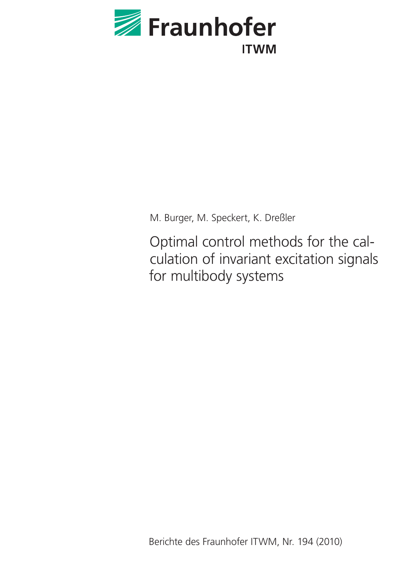

M. Burger, M. Speckert, K. Dreßler

Optimal control methods for the calculation of invariant excitation signals for multibody systems

Berichte des Fraunhofer ITWM, Nr. 194 (2010)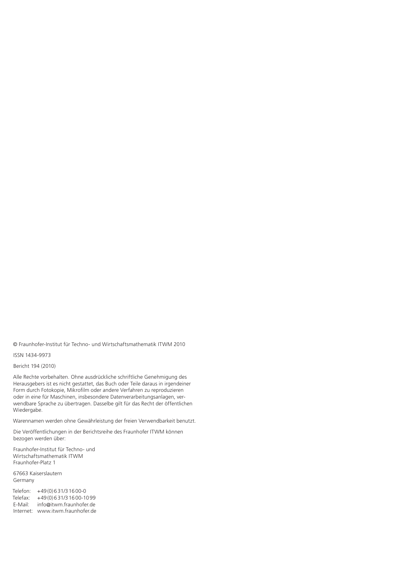© Fraunhofer-Institut für Techno- und Wirtschaftsmathematik ITWM 2010

ISSN 1434-9973

Bericht 194 (2010)

Alle Rechte vorbehalten. Ohne ausdrückliche schriftliche Genehmigung des Herausgebers ist es nicht gestattet, das Buch oder Teile daraus in irgendeiner Form durch Fotokopie, Mikrofilm oder andere Verfahren zu reproduzieren oder in eine für Maschinen, insbesondere Datenverarbeitungsanlagen, verwendbare Sprache zu übertragen. Dasselbe gilt für das Recht der öffentlichen Wiedergabe.

Warennamen werden ohne Gewährleistung der freien Verwendbarkeit benutzt.

Die Veröffentlichungen in der Berichtsreihe des Fraunhofer ITWM können bezogen werden über:

Fraunhofer-Institut für Techno- und Wirtschaftsmathematik ITWM Fraunhofer-Platz 1

67663 Kaiserslautern Germany

Telefon: +49(0)631/31600-0 Telefax: +49(0)631/31600-1099 E-Mail: info@itwm.fraunhofer.de Internet: www.itwm.fraunhofer.de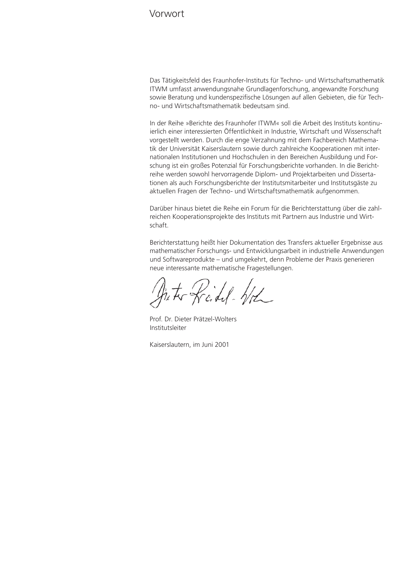# Vorwort

Das Tätigkeitsfeld des Fraunhofer-Instituts für Techno- und Wirtschaftsmathematik ITWM umfasst anwendungsnahe Grundlagenforschung, angewandte Forschung sowie Beratung und kundenspezifische Lösungen auf allen Gebieten, die für Techno- und Wirtschaftsmathematik bedeutsam sind.

In der Reihe »Berichte des Fraunhofer ITWM« soll die Arbeit des Instituts kontinuierlich einer interessierten Öffentlichkeit in Industrie, Wirtschaft und Wissenschaft vorgestellt werden. Durch die enge Verzahnung mit dem Fachbereich Mathematik der Universität Kaiserslautern sowie durch zahlreiche Kooperationen mit internationalen Institutionen und Hochschulen in den Bereichen Ausbildung und Forschung ist ein großes Potenzial für Forschungsberichte vorhanden. In die Berichtreihe werden sowohl hervorragende Diplom- und Projektarbeiten und Dissertationen als auch Forschungsberichte der Institutsmitarbeiter und Institutsgäste zu aktuellen Fragen der Techno- und Wirtschaftsmathematik aufgenommen.

Darüber hinaus bietet die Reihe ein Forum für die Berichterstattung über die zahlreichen Kooperationsprojekte des Instituts mit Partnern aus Industrie und Wirtschaft.

Berichterstattung heißt hier Dokumentation des Transfers aktueller Ergebnisse aus mathematischer Forschungs- und Entwicklungsarbeit in industrielle Anwendungen und Softwareprodukte – und umgekehrt, denn Probleme der Praxis generieren neue interessante mathematische Fragestellungen.

hits Reidel- Wh

Prof. Dr. Dieter Prätzel-Wolters Institutsleiter

Kaiserslautern, im Juni 2001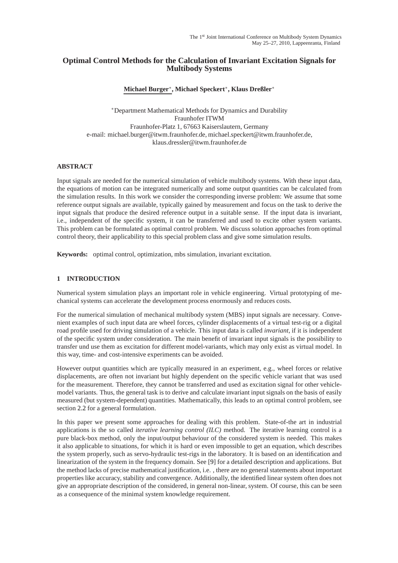# **Optimal Control Methods for the Calculation of Invariant Excitation Signals for Multibody Systems**

# **Michael Burger**<sup>∗</sup> **, Michael Speckert**<sup>∗</sup> **, Klaus Dreßler**<sup>∗</sup>

<sup>∗</sup>Department Mathematical Methods for Dynamics and Durability Fraunhofer ITWM Fraunhofer-Platz 1, 67663 Kaiserslautern, Germany e-mail: michael.burger@itwm.fraunhofer.de, michael.speckert@itwm.fraunhofer.de, klaus.dressler@itwm.fraunhofer.de

## **ABSTRACT**

Input signals are needed for the numerical simulation of vehicle multibody systems. With these input data, the equations of motion can be integrated numerically and some output quantities can be calculated from the simulation results. In this work we consider the corresponding inverse problem: We assume that some reference output signals are available, typically gained by measurement and focus on the task to derive the input signals that produce the desired reference output in a suitable sense. If the input data is invariant, i.e., independent of the specific system, it can be transferred and used to excite other system variants. This problem can be formulated as optimal control problem. We discuss solution approaches from optimal control theory, their applicability to this special problem class and give some simulation results.

**Keywords:** optimal control, optimization, mbs simulation, invariant excitation.

## **1 INTRODUCTION**

Numerical system simulation plays an important role in vehicle engineering. Virtual prototyping of mechanical systems can accelerate the development process enormously and reduces costs.

For the numerical simulation of mechanical multibody system (MBS) input signals are necessary. Convenient examples of such input data are wheel forces, cylinder displacements of a virtual test-rig or a digital road profile used for driving simulation of a vehicle. This input data is called *invariant*, if it is independent of the specific system under consideration. The main benefit of invariant input signals is the possibility to transfer und use them as excitation for different model-variants, which may only exist as virtual model. In this way, time- and cost-intensive experiments can be avoided.

However output quantities which are typically measured in an experiment, e.g., wheel forces or relative displacements, are often not invariant but highly dependent on the specific vehicle variant that was used for the measurement. Therefore, they cannot be transferred and used as excitation signal for other vehiclemodel variants. Thus, the general task is to derive and calculate invariant input signals on the basis of easily measured (but system-dependent) quantities. Mathematically, this leads to an optimal control problem, see section [2.2](#page-6-0) for a general formulation.

In this paper we present some approaches for dealing with this problem. State-of-the art in industrial applications is the so called *iterative learning control (ILC)* method. The iterative learning control is a pure black-box method, only the input/output behaviour of the considered system is needed. This makes it also applicable to situations, for which it is hard or even impossible to get an equation, which describes the system properly, such as servo-hydraulic test-rigs in the laboratory. It is based on an identification and linearization of the system in the frequency domain. See [\[9\]](#page-12-0) for a detailed description and applications. But the method lacks of precise mathematical justification, i.e. , there are no general statements about important properties like accuracy, stability and convergence. Additionally, the identified linear system often does not give an appropriate description of the considered, in general non-linear, system. Of course, this can be seen as a consequence of the minimal system knowledge requirement.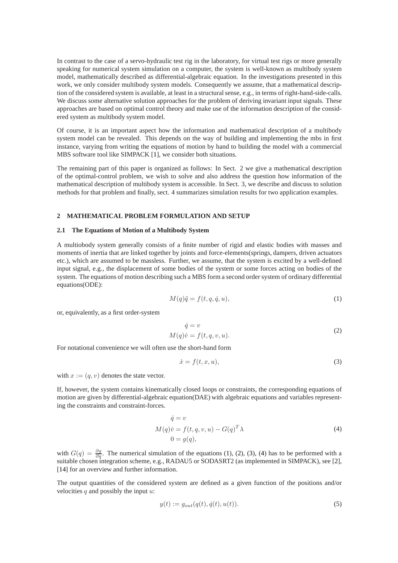In contrast to the case of a servo-hydraulic test rig in the laboratory, for virtual test rigs or more generally speaking for numerical system simulation on a computer, the system is well-known as multibody system model, mathematically described as differential-algebraic equation. In the investigations presented in this work, we only consider multibody system models. Consequently we assume, that a mathematical description of the considered system is available, at least in a structural sense, e.g., in terms of right-hand-side-calls. We discuss some alternative solution approaches for the problem of deriving invariant input signals. These approaches are based on optimal control theory and make use of the information description of the considered system as multibody system model.

Of course, it is an important aspect how the information and mathematical description of a multibody system model can be revealed. This depends on the way of building and implementing the mbs in first instance, varying from writing the equations of motion by hand to building the model with a commercial MBS software tool like SIMPACK [\[1\]](#page-11-0), we consider both situations.

The remaining part of this paper is organized as follows: In Sect. 2 we give a mathematical description of the optimal-control problem, we wish to solve and also address the question how information of the mathematical description of multibody system is accessible. In Sect. 3, we describe and discuss to solution methods for that problem and finally, sect. 4 summarizes simulation results for two application examples.

## **2 MATHEMATICAL PROBLEM FORMULATION AND SETUP**

#### **2.1 The Equations of Motion of a Multibody System**

A multiobody system generally consists of a finite number of rigid and elastic bodies with masses and moments of inertia that are linked together by joints and force-elements(springs, dampers, driven actuators etc.), which are assumed to be massless. Further, we assume, that the system is excited by a well-defined input signal, e.g., the displacement of some bodies of the system or some forces acting on bodies of the system. The equations of motion describing such a MBS form a second order system of ordinary differential equations(ODE):

$$
M(q)\ddot{q} = f(t, q, \dot{q}, u),\tag{1}
$$

<span id="page-5-0"></span>or, equivalently, as a first order-system

$$
\dot{q} = v
$$
  
\n
$$
M(q)\dot{v} = f(t, q, v, u).
$$
\n(2)

<span id="page-5-1"></span>For notational convenience we will often use the short-hand form

$$
\dot{x} = f(t, x, u),\tag{3}
$$

<span id="page-5-2"></span>with  $x := (q, v)$  denotes the state vector.

If, however, the system contains kinematically closed loops or constraints, the corresponding equations of motion are given by differential-algebraic equation(DAE) with algebraic equations and variables representing the constraints and constraint-forces.

$$
\dot{q} = v
$$
  
\n
$$
M(q)\dot{v} = f(t, q, v, u) - G(q)^T \lambda
$$
  
\n
$$
0 = g(q),
$$
\n(4)

<span id="page-5-3"></span>with  $G(q) = \frac{\partial g}{\partial q}$ . The numerical simulation of the equations [\(1\)](#page-5-0), [\(2\)](#page-5-1), [\(3\)](#page-5-2), [\(4\)](#page-5-3) has to be performed with a suitable chosen integration scheme, e.g., RADAU5 or SODASRT2 (as implemented in SIMPACK), see [\[2\]](#page-11-1), [\[14\]](#page-12-1) for an overview and further information.

The output quantities of the considered system are defined as a given function of the positions and/or velocities  $q$  and possibly the input  $u$ :

$$
y(t) := g_{out}(q(t), \dot{q}(t), u(t)).
$$
\n(5)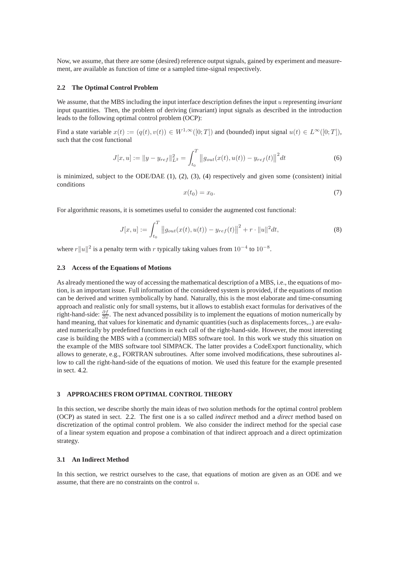<span id="page-6-0"></span>Now, we assume, that there are some (desired) reference output signals, gained by experiment and measurement, are available as function of time or a sampled time-signal respectively.

## **2.2 The Optimal Control Problem**

We assume, that the MBS including the input interface description defines the input u representing *invariant* input quantities. Then, the problem of deriving (invariant) input signals as described in the introduction leads to the following optimal control problem (OCP):

Find a state variable  $x(t) := (q(t), v(t)) \in W^{1,\infty}([0; T])$  and (bounded) input signal  $u(t) \in L^{\infty}([0; T])$ , such that the cost functional

$$
J[x, u] := \|y - y_{ref}\|_{L^2}^2 = \int_{t_0}^T \|g_{out}(x(t), u(t)) - y_{ref}(t)\|^2 dt
$$
\n(6)

<span id="page-6-1"></span>is minimized, subject to the ODE/DAE  $(1)$ ,  $(2)$ ,  $(3)$ ,  $(4)$  respectively and given some (consistent) initial conditions

$$
x(t_0) = x_0. \tag{7}
$$

<span id="page-6-2"></span>For algorithmic reasons, it is sometimes useful to consider the augmented cost functional:

$$
J[x, u] := \int_{t_0}^T \left\| g_{out}(x(t), u(t)) - y_{ref}(t) \right\|^2 + r \cdot \|u\|^2 dt, \tag{8}
$$

where  $r||u||^2$  is a penalty term with r typically taking values from  $10^{-4}$  to  $10^{-8}$ .

## **2.3 Access of the Equations of Motions**

As already mentioned the way of accessing the mathematical description of a MBS, i.e., the equations of motion, is an important issue. Full information of the considered system is provided, if the equations of motion can be derived and written symbolically by hand. Naturally, this is the most elaborate and time-consuming approach and realistic only for small systems, but it allows to establish exact formulas for derivatives of the right-hand-side:  $\frac{\partial f}{\partial x}$ . The next advanced possibility is to implement the equations of motion numerically by hand meaning, that values for kinematic and dynamic quantities (such as displacements forces,..) are evaluated numerically by predefined functions in each call of the right-hand-side. However, the most interesting case is building the MBS with a (commercial) MBS software tool. In this work we study this situation on the example of the MBS software tool SIMPACK. The latter provides a CodeExport functionality, which allows to generate, e.g., FORTRAN subroutines. After some involved modifications, these subroutines allow to call the right-hand-side of the equations of motion. We used this feature for the example presented in sect. [4.2.](#page-10-0)

## **3 APPROACHES FROM OPTIMAL CONTROL THEORY**

In this section, we describe shortly the main ideas of two solution methods for the optimal control problem (OCP) as stated in sect. [2.2.](#page-6-0) The first one is a so called *indirect* method and a *direct* method based on discretization of the optimal control problem. We also consider the indirect method for the special case of a linear system equation and propose a combination of that indirect approach and a direct optimization strategy.

## <span id="page-6-3"></span>**3.1 An Indirect Method**

In this section, we restrict ourselves to the case, that equations of motion are given as an ODE and we assume, that there are no constraints on the control  $u$ .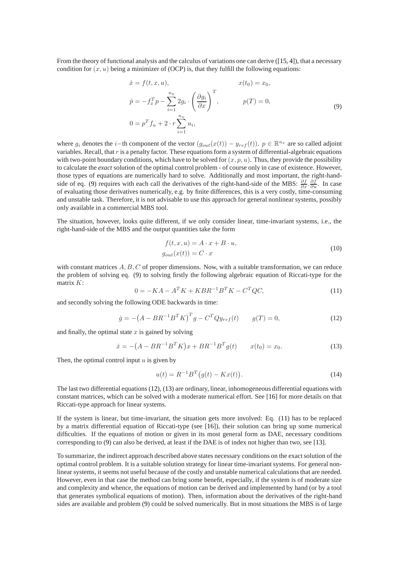From the theory of functional analysis and the calculus of variations one can derive ([\[15,](#page-12-2) [4\]](#page-11-2)), that a necessary condition for  $(x, u)$  being a minimizer of (OCP) is, that they fulfill the following equations:

$$
\begin{aligned}\n\dot{x} &= f(t, x, u), & x(t_0) &= x_0, \\
\dot{p} &= -f_x^T p - \sum_{i=1}^{n_y} 2g_i \cdot \left(\frac{\partial g_i}{\partial x}\right)^T, & p(T) &= 0, \\
0 &= p^T f_u + 2 \cdot r \sum_{i=1}^{n_u} u_i,\n\end{aligned}
$$
\n(9)

<span id="page-7-0"></span>where  $g_i$  denotes the *i*−th component of the vector  $(g_{out}(x(t)) - y_{ref}(t))$ .  $p \in \mathbb{R}^{n_x}$  are so called adjoint variables. Recall, that r is a penalty factor. These equations form a system of differential-algebraic equations with two-point boundary conditions, which have to be solved for  $(x, p, u)$ . Thus, they provide the possibility to calculate the *exact* solution of the optimal control problem - of course only in case of existence. However, those types of equations are numerically hard to solve. Additionally and most important, the right-hand-side of eq. [\(9\)](#page-7-0) requires with each call the derivatives of the right-hand-side of the MBS:  $\frac{\partial f}{\partial x}$ .  $\frac{\partial f}{\partial u}$ . In case of evaluating those derivatives numerically, e.g. by finite differences, this is a very costly, time-consuming and unstable task. Therefore, it is not advisable to use this approach for general nonlinear systems, possibly only available in a commercial MBS tool.

The situation, however, looks quite different, if we only consider linear, time-invariant systems, i.e., the right-hand-side of the MBS and the output quantities take the form

$$
f(t, x, u) = A \cdot x + B \cdot u,
$$
  
\n
$$
g_{out}(x(t)) = C \cdot x
$$
\n(10)

with constant matrices  $A, B, C$  of proper dimensions. Now, with a suitable transformation, we can reduce the problem of solving eq. [\(9\)](#page-7-0) to solving firstly the following algebraic equation of Riccati-type for the matrix  $K$ :

$$
0 = -KA - A^{T}K + KBR^{-1}B^{T}K - C^{T}QC,
$$
\n(11)

<span id="page-7-3"></span><span id="page-7-1"></span>and secondly solving the following ODE backwards in time:

$$
\dot{g} = -\left(A - BR^{-1}B^T K\right)^T g - C^T Q y_{ref}(t) \qquad g(T) = 0,
$$
\n(12)

<span id="page-7-2"></span>and finally, the optimal state  $x$  is gained by solving

$$
\dot{x} = -(A - BR^{-1}B^T K)x + BR^{-1}B^T g(t) \qquad x(t_0) = x_0. \tag{13}
$$

Then, the optimal control input  $u$  is given by

$$
u(t) = R^{-1}B^{T}(g(t) - Kx(t)).
$$
\n(14)

The last two differential equations [\(12\)](#page-7-1), [\(13\)](#page-7-2) are ordinary, linear, inhomogeneous differential equations with constant matrices, which can be solved with a moderate numerical effort. See [\[16\]](#page-12-3) for more details on that Riccati-type approach for linear systems.

If the system is linear, but time-invariant, the situation gets more involved: Eq. [\(11\)](#page-7-3) has to be replaced by a matrix differential equation of Riccati-type (see [\[16\]](#page-12-3)), their solution can bring up some numerical difficulties. If the equations of motion or given in its most general form as DAE, necessary conditions corresponding to [\(9\)](#page-7-0) can also be derived, at least if the DAE is of index not higher than two, see [\[13\]](#page-12-4).

To summarize, the indirect approach described above states necessary conditions on the exact solution of the optimal control problem. It is a suitable solution strategy for linear time-invariant systems. For general nonlinear systems, it seems not useful because of the costly and unstable numerical calculations that are needed. However, even in that case the method can bring some benefit, especially, if the system is of moderate size and complexity and whence, the equations of motion can be derived and implemented by hand (or by a tool that generates symbolical equations of motion). Then, information about the derivatives of the right-hand sides are available and problem [\(9\)](#page-7-0) could be solved numerically. But in most situations the MBS is of large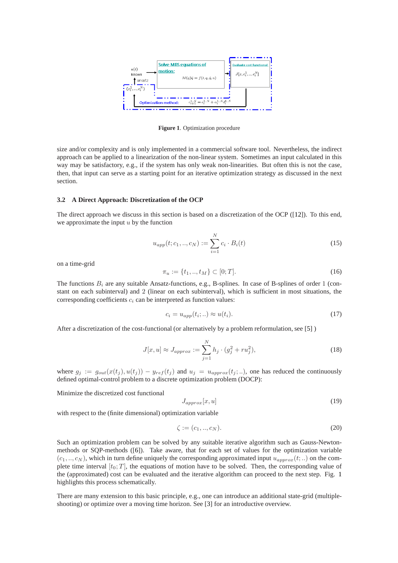

**Figure 1**. Optimization procedure

<span id="page-8-0"></span>size and/or complexity and is only implemented in a commercial software tool. Nevertheless, the indirect approach can be applied to a linearization of the non-linear system. Sometimes an input calculated in this way may be satisfactory, e.g., if the system has only weak non-linearities. But often this is not the case, then, that input can serve as a starting point for an iterative optimization strategy as discussed in the next section.

## <span id="page-8-1"></span>**3.2 A Direct Approach: Discretization of the OCP**

The direct approach we discuss in this section is based on a discretization of the OCP ([\[12\]](#page-12-5)). To this end, we approximate the input  $u$  by the function

$$
u_{app}(t; c_1, ..., c_N) := \sum_{i=1}^{N} c_i \cdot B_i(t)
$$
\n(15)

on a time-grid

$$
\pi_u := \{t_1, ..., t_M\} \subset [0;T].\tag{16}
$$

The functions  $B_i$  are any suitable Ansatz-functions, e.g., B-splines. In case of B-splines of order 1 (constant on each subinterval) and 2 (linear on each subinterval), which is sufficient in most situations, the corresponding coefficients  $c_i$  can be interpreted as function values:

$$
c_i = u_{app}(t_i;..) \approx u(t_i). \tag{17}
$$

After a discretization of the cost-functional (or alternatively by a problem reformulation, see [\[5\]](#page-11-3) )

$$
J[x, u] \approx J_{approx} := \sum_{j=1}^{N} h_j \cdot (g_j^2 + r u_j^2),
$$
\n(18)

where  $g_j := g_{out}(x(t_j), u(t_j)) - y_{ref}(t_j)$  and  $u_j = u_{approx}(t_j; ...)$ , one has reduced the continuously defined optimal-control problem to a discrete optimization problem (DOCP):

Minimize the discretized cost functional

$$
J_{approx}[x, u] \tag{19}
$$

with respect to the (finite dimensional) optimization variable

$$
\zeta := (c_1, ..., c_N). \tag{20}
$$

Such an optimization problem can be solved by any suitable iterative algorithm such as Gauss-Newtonmethods or SQP-methods ([\[6\]](#page-11-4)). Take aware, that for each set of values for the optimization variable  $(c_1, ..., c_N)$ , which in turn define uniquely the corresponding approximated input  $u_{approx}(t; ...)$  on the complete time interval  $[t_0; T]$ , the equations of motion have to be solved. Then, the corresponding value of the (approximated) cost can be evaluated and the iterative algorithm can proceed to the next step. Fig. [1](#page-8-0) highlights this process schematically.

There are many extension to this basic principle, e.g., one can introduce an additional state-grid (multipleshooting) or optimize over a moving time horizon. See [\[3\]](#page-11-5) for an introductive overview.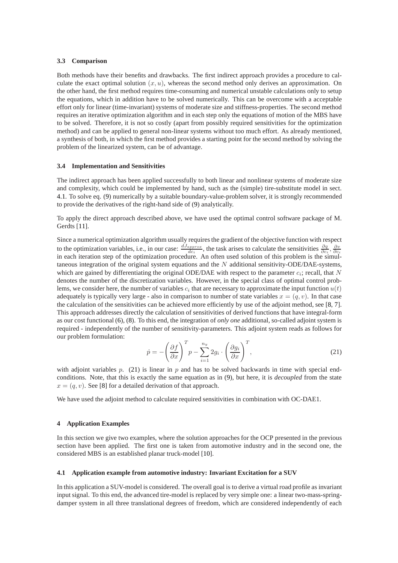## **3.3 Comparison**

Both methods have their benefits and drawbacks. The first indirect approach provides a procedure to calculate the exact optimal solution  $(x, u)$ , whereas the second method only derives an approximation. On the other hand, the first method requires time-consuming and numerical unstable calculations only to setup the equations, which in addition have to be solved numerically. This can be overcome with a acceptable effort only for linear (time-invariant) systems of moderate size and stiffness-properties. The second method requires an iterative optimization algorithm and in each step only the equations of motion of the MBS have to be solved. Therefore, it is not so costly (apart from possibly required sensitivities for the optimization method) and can be applied to general non-linear systems without too much effort. As already mentioned, a synthesis of both, in which the first method provides a starting point for the second method by solving the problem of the linearized system, can be of advantage.

## **3.4 Implementation and Sensitivities**

The indirect approach has been applied successfully to both linear and nonlinear systems of moderate size and complexity, which could be implemented by hand, such as the (simple) tire-substitute model in sect. [4.1.](#page-9-0) To solve eq. [\(9\)](#page-7-0) numerically by a suitable boundary-value-problem solver, it is strongly recommended to provide the derivatives of the right-hand side of [\(9\)](#page-7-0) analytically.

To apply the direct approach described above, we have used the optimal control software package of M. Gerdts [\[11\]](#page-12-6).

Since a numerical optimization algorithm usually requires the gradient of the objective function with respect to the optimization variables, i.e., in our case:  $\frac{dJ_{approx}}{dc_i}$ , the task arises to calculate the sensitivities  $\frac{\partial q}{\partial c_i}, \frac{\partial v}{\partial c_i}$ in each iteration step of the optimization procedure. An often used solution of this problem is the simultaneous integration of the original system equations and the  $N$  additional sensitivity-ODE/DAE-systems, which are gained by differentiating the original ODE/DAE with respect to the parameter  $c_i$ ; recall, that N denotes the number of the discretization variables. However, in the special class of optimal control problems, we consider here, the number of variables  $c_i$  that are necessary to approximate the input function  $u(t)$ adequately is typically very large - also in comparison to number of state variables  $x = (q, v)$ . In that case the calculation of the sensitivities can be achieved more efficiently by use of the adjoint method, see [\[8,](#page-11-6) [7\]](#page-11-7). This approach addresses directly the calculation of sensitivities of derived functions that have integral-form as our cost functional [\(6\)](#page-6-1), [\(8\)](#page-6-2). To this end, the integration of *only one* additional, so-called adjoint system is required - independently of the number of sensitivity-parameters. This adjoint system reads as follows for our problem formulation:

$$
\dot{p} = -\left(\frac{\partial f}{\partial x}\right)^T p - \sum_{i=1}^{n_y} 2g_i \cdot \left(\frac{\partial g_i}{\partial x}\right)^T,
$$
\n(21)

<span id="page-9-1"></span>with adjoint variables p. [\(21\)](#page-9-1) is linear in p and has to be solved backwards in time with special endconditions. Note, that this is exactly the same equation as in [\(9\)](#page-7-0), but here, it is *decoupled* from the state  $x = (q, v)$ . See [\[8\]](#page-11-6) for a detailed derivation of that approach.

We have used the adjoint method to calculate required sensitivities in combination with OC-DAE1.

### **4 Application Examples**

In this section we give two examples, where the solution approaches for the OCP presented in the previous section have been applied. The first one is taken from automotive industry and in the second one, the considered MBS is an established planar truck-model [\[10\]](#page-12-7).

## <span id="page-9-0"></span>**4.1 Application example from automotive industry: Invariant Excitation for a SUV**

In this application a SUV-model is considered. The overall goal is to derive a virtual road profile as invariant input signal. To this end, the advanced tire-model is replaced by very simple one: a linear two-mass-springdamper system in all three translational degrees of freedom, which are considered independently of each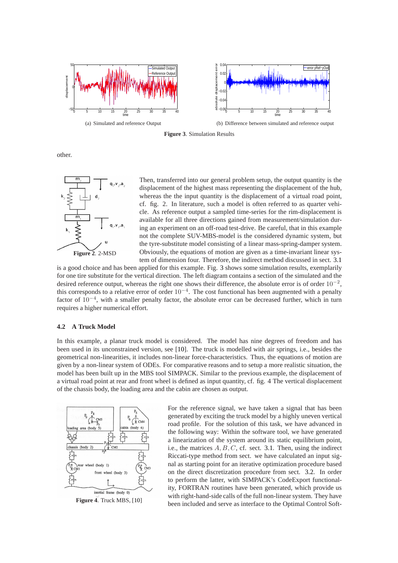<span id="page-10-1"></span>

**Figure 3**. Simulation Results

other.



Then, transferred into our general problem setup, the output quantity is the displacement of the highest mass representing the displacement of the hub, whereas the the input quantity is the displacement of a virtual road point, cf. fig. 2. In literature, such a model is often referred to as quarter vehicle. As reference output a sampled time-series for the rim-displacement is available for all three directions gained from measurement/simulation during an experiment on an off-road test-drive. Be careful, that in this example not the complete SUV-MBS-model is the considered dynamic system, but the tyre-substitute model consisting of a linear mass-spring-damper system. Obviously, the equations of motion are given as a time-invariant linear system of dimension four. Therefore, the indirect method discussed in sect. [3.1](#page-6-3)

is a good choice and has been applied for this example. Fig. [3](#page-10-1) shows some simulation results, exemplarily for one tire substitute for the vertical direction. The left diagram contains a section of the simulated and the desired reference output, whereas the right one shows their difference, the absolute error is of order  $10^{-2}$ , this corresponds to a relative error of order 10<sup>−</sup><sup>4</sup> . The cost functional has been augmented with a penalty factor of 10<sup>−</sup><sup>4</sup> , with a smaller penalty factor, the absolute error can be decreased further, which in turn requires a higher numerical effort.

## <span id="page-10-0"></span>**4.2 A Truck Model**

In this example, a planar truck model is considered. The model has nine degrees of freedom and has been used in its unconstrained version, see [\[10\]](#page-12-7). The truck is modelled with air springs, i.e., besides the geometrical non-linearities, it includes non-linear force-characteristics. Thus, the equations of motion are given by a non-linear system of ODEs. For comparative reasons and to setup a more realistic situation, the model has been built up in the MBS tool SIMPACK. Similar to the previous example, the displacement of a virtual road point at rear and front wheel is defined as input quantity, cf. fig. 4 The vertical displacement of the chassis body, the loading area and the cabin are chosen as output.



For the reference signal, we have taken a signal that has been generated by exciting the truck model by a highly uneven vertical road profile. For the solution of this task, we have advanced in the following way: Within the software tool, we have generated a linearization of the system around its static equilibrium point, i.e., the matrices  $A, B, C$ , cf. sect. [3.1.](#page-6-3) Then, using the indirect Riccati-type method from sect. we have calculated an input signal as starting point for an iterative optimization procedure based on the direct discretization procedure from sect. [3.2.](#page-8-1) In order to perform the latter, with SIMPACK's CodeExport functionality, FORTRAN routines have been generated, which provide us with right-hand-side calls of the full non-linear system. They have been included and serve as interface to the Optimal Control Soft-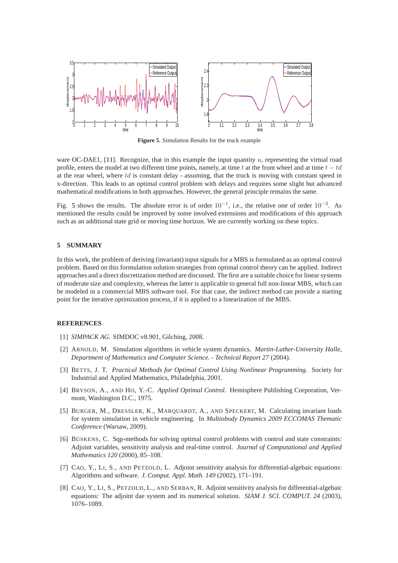<span id="page-11-8"></span>

**Figure 5**. Simulation Results for the truck example

ware OC-DAE1, [\[11\]](#page-12-6). Recognize, that in this example the input quantity u, representing the virtual road profile, enters the model at two different time points, namely, at time t at the front wheel and at time  $t - td$ at the rear wheel, where  $td$  is constant delay - assuming, that the truck is moving with constant speed in x-direction. This leads to an optimal control problem with delays and requires some slight but advanced mathematical modifications in both approaches. However, the general principle remains the same.

Fig. [5](#page-11-8) shows the results. The absolute error is of order  $10^{-1}$ , i.e., the relative one of order  $10^{-2}$ . As mentioned the results could be improved by some involved extensions and modifications of this approach such as an additional state grid or moving time horizon. We are currently working on these topics.

## **5 SUMMARY**

In this work, the problem of deriving (invariant) input signals for a MBS is formulated as an optimal control problem. Based on this formulation solution strategies from optimal control theory can be applied. Indirect approaches and a direct discretization method are discussed. The first are a suitable choice for linear systems of moderate size and complexity, whereas the latter is applicable to general full non-linear MBS, which can be modeled in a commercial MBS software tool. For that case, the indirect method can provide a starting point for the iterative optimization process, if it is applied to a linearization of the MBS.

## <span id="page-11-1"></span><span id="page-11-0"></span>**REFERENCES**

- [1] *SIMPACK AG*. SIMDOC v8.901, Gilching, 2008.
- [2] ARNOLD, M. Simulation algorithms in vehicle system dynamics. *Martin-Luther-University Halle, Department of Mathematics and Computer Science. - Technical Report 27* (2004).
- <span id="page-11-5"></span>[3] BETTS, J. T. *Practical Methods for Optimal Control Using Nonlinear Programming*. Society for Industrial and Applied Mathematics, Philadelphia, 2001.
- <span id="page-11-2"></span>[4] BRYSON, A., AND HO, Y.-C. *Applied Optimal Control*. Hemisphere Publishing Corporation, Vermont, Washington D.C., 1975.
- <span id="page-11-3"></span>[5] BURGER, M., DRESSLER, K., MARQUARDT, A., AND SPECKERT, M. Calculating invariant loads for system simulation in vehicle engineering. In *Multiobody Dynamics 2009 ECCOMAS Thematic Conference* (Warsaw, 2009).
- <span id="page-11-4"></span>[6] BÜSKENS, C. Sqp-methods for solving optimal control problems with control and state constraints: Adjoint variables, sensitivity analysis and real-time control. *Journal of Computational and Applied Mathematics 120* (2000), 85–108.
- <span id="page-11-7"></span>[7] CAO, Y., LI, S., AND PETZOLD, L. Adjoint sensitivity analysis for differential-algebaic equations: Algorithms and software. *J. Comput. Appl. Math. 149* (2002), 171–191.
- <span id="page-11-6"></span>[8] CAO, Y., LI, S., PETZOLD, L., AND SERBAN, R. Adjoint sensitivity analysis for differential-algebaic equations: The adjoint dae system and its numerical solution. *SIAM J. SCI. COMPUT. 24* (2003), 1076–1089.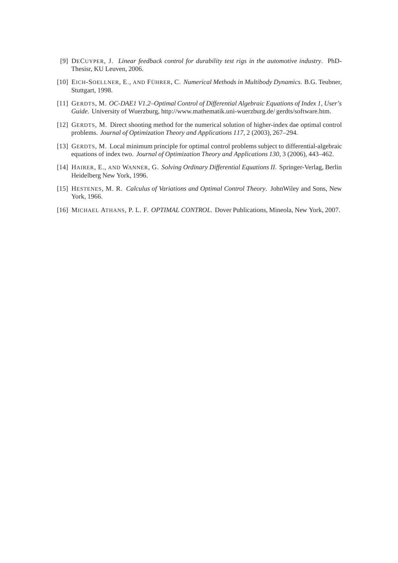- <span id="page-12-0"></span>[9] DECUYPER, J. *Linear feedback control for durability test rigs in the automotive industry*. PhD-Thesisr, KU Leuven, 2006.
- <span id="page-12-7"></span><span id="page-12-6"></span>[10] EICH-SOELLNER, E., AND FÜHRER, C. *Numerical Methods in Multibody Dynamics*. B.G. Teubner, Stuttgart, 1998.
- [11] GERDTS, M. *OC-DAE1 V1.2–Optimal Control of Differential Algebraic Equations of Index 1, User's Guide*. University of Wuerzburg, http://www.mathematik.uni-wuerzburg.de/ gerdts/software.htm.
- <span id="page-12-5"></span><span id="page-12-4"></span>[12] GERDTS, M. Direct shooting method for the numerical solution of higher-index dae optimal control problems. *Journal of Optimization Theory and Applications 117*, 2 (2003), 267–294.
- <span id="page-12-1"></span>[13] GERDTS, M. Local minimum principle for optimal control problems subject to differential-algebraic equations of index two. *Journal of Optimization Theory and Applications 130*, 3 (2006), 443–462.
- [14] HAIRER, E., AND WANNER, G. *Solving Ordinary Differential Equations II*. Springer-Verlag, Berlin Heidelberg New York, 1996.
- <span id="page-12-2"></span>[15] HESTENES, M. R. *Calculus of Variations and Optimal Control Theory*. JohnWiley and Sons, New York, 1966.
- <span id="page-12-3"></span>[16] MICHAEL ATHANS, P. L. F. *OPTIMAL CONTROL*. Dover Publications, Mineola, New York, 2007.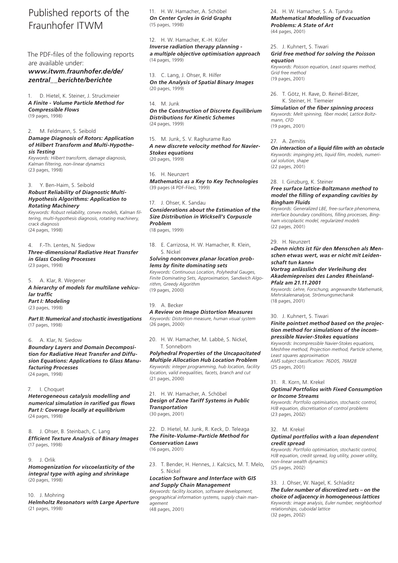# Published reports of the Fraunhofer ITWM

The PDF-files of the following reports are available under: *www.itwm.fraunhofer.de/de/ zentral\_\_berichte/berichte*

1. D. Hietel, K. Steiner, J. Struckmeier *A Finite - Volume Particle Method for Compressible Flows* (19 pages, 1998)

2. M. Feldmann, S. Seibold

## *Damage Diagnosis of Rotors: Application of Hilbert Transform and Multi-Hypothesis Testing*

*Keywords: Hilbert transform, damage diagnosis, Kalman filtering, non-linear dynamics* (23 pages, 1998)

## 3. Y. Ben-Haim, S. Seibold *Robust Reliability of Diagnostic Multi-Hypothesis Algorithms: Application to Rotating Machinery*

*Keywords: Robust reliability, convex models, Kalman filtering, multi-hypothesis diagnosis, rotating machinery, crack diagnosis* (24 pages, 1998)

4. F.-Th. Lentes, N. Siedow *Three-dimensional Radiative Heat Transfer in Glass Cooling Processes* (23 pages, 1998)

5. A. Klar, R. Wegener *A hierarchy of models for multilane vehicular traffic Part I: Modeling* (23 pages, 1998)

*Part II: Numerical and stochastic investigations* (17 pages, 1998)

## 6. A. Klar, N. Siedow

*Boundary Layers and Domain Decomposition for Radiative Heat Transfer and Diffusion Equations: Applications to Glass Manufacturing Processes* (24 pages, 1998)

#### 7. I. Choquet

*Heterogeneous catalysis modelling and numerical simulation in rarified gas flows Part I: Coverage locally at equilibrium*  (24 pages, 1998)

8. J. Ohser, B. Steinbach, C. Lang *Efficient Texture Analysis of Binary Images* (17 pages, 1998)

### 9. J. Orlik

*Homogenization for viscoelasticity of the integral type with aging and shrinkage* (20 pages, 1998)

#### 10. J. Mohring

*Helmholtz Resonators with Large Aperture* (21 pages, 1998)

11. H. W. Hamacher, A. Schöbel *On Center Cycles in Grid Graphs* (15 pages, 1998)

12. H. W. Hamacher, K.-H. Küfer *Inverse radiation therapy planning a multiple objective optimisation approach* (14 pages, 1999)

13. C. Lang, J. Ohser, R. Hilfer *On the Analysis of Spatial Binary Images* (20 pages, 1999)

14. M. Junk *On the Construction of Discrete Equilibrium Distributions for Kinetic Schemes* (24 pages, 1999)

15. M. Junk, S. V. Raghurame Rao *A new discrete velocity method for Navier-Stokes equations* (20 pages, 1999)

16. H. Neunzert *Mathematics as a Key to Key Technologies* (39 pages (4 PDF-Files), 1999)

## 17. J. Ohser, K. Sandau *Considerations about the Estimation of the Size Distribution in Wicksell's Corpuscle Problem* (18 pages, 1999)

18. E. Carrizosa, H. W. Hamacher, R. Klein, S. Nickel

## *Solving nonconvex planar location problems by finite dominating sets*

*Keywords: Continuous Location, Polyhedral Gauges, Finite Dominating Sets, Approximation, Sandwich Algorithm, Greedy Algorithm* (19 pages, 2000)

## 19. A. Becker

*A Review on Image Distortion Measures Keywords: Distortion measure, human visual system* (26 pages, 2000)

20. H. W. Hamacher, M. Labbé, S. Nickel, T. Sonneborn

*Polyhedral Properties of the Uncapacitated Multiple Allocation Hub Location Problem Keywords: integer programming, hub location, facility location, valid inequalities, facets, branch and cut* (21 pages, 2000)

### 21. H. W. Hamacher, A. Schöbel *Design of Zone Tariff Systems in Public Transportation* (30 pages, 2001)

22. D. Hietel, M. Junk, R. Keck, D. Teleaga *The Finite-Volume-Particle Method for Conservation Laws* (16 pages, 2001)

23. T. Bender, H. Hennes, J. Kalcsics, M. T. Melo, S. Nickel

## *Location Software and Interface with GIS and Supply Chain Management*

*Keywords: facility location, software development, geographical information systems, supply chain management* (48 pages, 2001)

24. H. W. Hamacher, S. A. Tjandra *Mathematical Modelling of Evacuation Problems: A State of Art* (44 pages, 2001)

## 25. J. Kuhnert, S. Tiwari *Grid free method for solving the Poisson equation*

*Keywords: Poisson equation, Least squares method, Grid free method* (19 pages, 2001)

26. T. Götz, H. Rave, D. Reinel-Bitzer, K. Steiner, H. Tiemeier

*Simulation of the fiber spinning process Keywords: Melt spinning, fiber model, Lattice Boltzmann, CFD* (19 pages, 2001)

### 27. A. Zemitis

*On interaction of a liquid film with an obstacle Keywords: impinging jets, liquid film, models, numerical solution, shape* (22 pages, 2001)

#### 28. I. Ginzburg, K. Steiner

## *Free surface lattice-Boltzmann method to model the filling of expanding cavities by Bingham Fluids*

*Keywords: Generalized LBE, free-surface phenomena, interface boundary conditions, filling processes, Bingham viscoplastic model, regularized models* (22 pages, 2001)

#### 29. H. Neunzert

*»Denn nichts ist für den Menschen als Menschen etwas wert, was er nicht mit Leidenschaft tun kann«*

## *Vortrag anlässlich der Verleihung des Akademiepreises des Landes Rheinland-Pfalz am 21.11.2001*

*Keywords: Lehre, Forschung, angewandte Mathematik, Mehrskalenanalyse, Strömungsmechanik* (18 pages, 2001)

#### 30. J. Kuhnert, S. Tiwari

#### *Finite pointset method based on the projection method for simulations of the incompressible Navier-Stokes equations*

*Keywords: Incompressible Navier-Stokes equations, Meshfree method, Projection method, Particle scheme, Least squares approximation AMS subject classification: 76D05, 76M28* (25 pages, 2001)

#### 31. R. Korn, M. Krekel

## *Optimal Portfolios with Fixed Consumption or Income Streams*

*Keywords: Portfolio optimisation, stochastic control, HJB equation, discretisation of control problems* (23 pages, 2002)

#### 32. M. Krekel

#### *Optimal portfolios with a loan dependent credit spread*

*Keywords: Portfolio optimisation, stochastic control, HJB equation, credit spread, log utility, power utility, non-linear wealth dynamics* (25 pages, 2002)

33. J. Ohser, W. Nagel, K. Schladitz

# *The Euler number of discretized sets – on the*

*choice of adjacency in homogeneous lattices Keywords: image analysis, Euler number, neighborhod relationships, cuboidal lattice* (32 pages, 2002)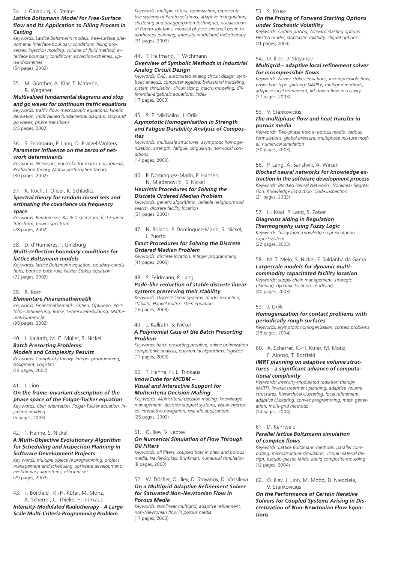#### 34. I. Ginzburg, K. Steiner

## *Lattice Boltzmann Model for Free-Surface flow and Its Application to Filling Process in Casting*

*Keywords: Lattice Boltzmann models; free-surface phenomena; interface boundary conditions; filling processes; injection molding; volume of fluid method; interface boundary conditions; advection-schemes; upwind-schemes* (54 pages, 2002)

35. M. Günther, A. Klar, T. Materne, R. Wegener

## *Multivalued fundamental diagrams and stop and go waves for continuum traffic equations*

*Keywords: traffic flow, macroscopic equations, kinetic derivation, multivalued fundamental diagram, stop and go waves, phase transitions* (25 pages, 2002)

#### 36. S. Feldmann, P. Lang, D. Prätzel-Wolters *Parameter influence on the zeros of network determinants*

*Keywords: Networks, Equicofactor matrix polynomials, Realization theory, Matrix perturbation theory* (30 pages, 2002)

37. K. Koch, J. Ohser, K. Schladitz

## *Spectral theory for random closed sets and estimating the covariance via frequency space*

*Keywords: Random set, Bartlett spectrum, fast Fourier transform, power spectrum* (28 pages, 2002)

### 38. D. d'Humières, I. Ginzburg *Multi-reflection boundary conditions for lattice Boltzmann models*

*Keywords: lattice Boltzmann equation, boudary condistions, bounce-back rule, Navier-Stokes equation* (72 pages, 2002)

#### 39. R. Korn

## *Elementare Finanzmathematik*

*Keywords: Finanzmathematik, Aktien, Optionen, Portfolio-Optimierung, Börse, Lehrerweiterbildung, Mathematikunterricht* (98 pages, 2002)

## 40. J. Kallrath, M. C. Müller, S. Nickel *Batch Presorting Problems:*

## *Models and Complexity Results*

*Keywords: Complexity theory, Integer programming, Assigment, Logistics* (19 pages, 2002)

41. J. Linn

## *On the frame-invariant description of the phase space of the Folgar-Tucker equation*

*Key words: fiber orientation, Folgar-Tucker equation, injection molding* (5 pages, 2003)

## 42. T. Hanne, S. Nickel

## *A Multi-Objective Evolutionary Algorithm for Scheduling and Inspection Planning in Software Development Projects*

*Key words: multiple objective programming, project management and scheduling, software development, evolutionary algorithms, efficient set* (29 pages, 2003)

43. T. Bortfeld , K.-H. Küfer, M. Monz, A. Scherrer, C. Thieke, H. Trinkaus *Intensity-Modulated Radiotherapy - A Large* 

# *Scale Multi-Criteria Programming Problem*

*Keywords: multiple criteria optimization, representative systems of Pareto solutions, adaptive triangulation, clustering and disaggregation techniques, visualization of Pareto solutions, medical physics, external beam radiotherapy planning, intensity modulated radiotherapy* (31 pages, 2003)

# 44. T. Halfmann, T. Wichmann

## *Overview of Symbolic Methods in Industrial Analog Circuit Design*

*Keywords: CAD, automated analog circuit design, symbolic analysis, computer algebra, behavioral modeling, system simulation, circuit sizing, macro modeling, differential-algebraic equations, index* (17 pages, 2003)

45. S. E. Mikhailov, J. Orlik

## *Asymptotic Homogenisation in Strength and Fatigue Durability Analysis of Composites*

*Keywords: multiscale structures, asymptotic homogenization, strength, fatigue, singularity, non-local conditions*

(14 pages, 2003)

46. P. Domínguez-Marín, P. Hansen, N. Mladenovi ´c , S. Nickel

## *Heuristic Procedures for Solving the Discrete Ordered Median Problem*

*Keywords: genetic algorithms, variable neighborhood search, discrete facility location* (31 pages, 2003)

47. N. Boland, P. Domínguez-Marín, S. Nickel, J. Puerto

#### *Exact Procedures for Solving the Discrete Ordered Median Problem*

*Keywords: discrete location, Integer programming* (41 pages, 2003)

### 48. S. Feldmann, P. Lang

## *Padé-like reduction of stable discrete linear systems preserving their stability*

*Keywords: Discrete linear systems, model reduction, stability, Hankel matrix, Stein equation* (16 pages, 2003)

## 49. J. Kallrath, S. Nickel

### *A Polynomial Case of the Batch Presorting Problem*

*Keywords: batch presorting problem, online optimization, competetive analysis, polynomial algorithms, logistics* (17 pages, 2003)

## 50. T. Hanne, H. L. Trinkaus

## *knowCube for MCDM – Visual and Interactive Support for Multicriteria Decision Making*

*Key words: Multicriteria decision making, knowledge management, decision support systems, visual interfaces, interactive navigation, real-life applications.* (26 pages, 2003)

#### 51. O. Iliev, V. Laptev

#### *On Numerical Simulation of Flow Through Oil Filters*

*Keywords: oil filters, coupled flow in plain and porous media, Navier-Stokes, Brinkman, numerical simulation* (8 pages, 2003)

## 52. W. Dörfler, O. Iliev, D. Stoyanov, D. Vassileva *On a Multigrid Adaptive Refinement Solver for Saturated Non-Newtonian Flow in Porous Media*

*Keywords: Nonlinear multigrid, adaptive refinement, non-Newtonian flow in porous media* (17 pages, 2003)

## 53. S. Kruse

## *On the Pricing of Forward Starting Options under Stochastic Volatility*

*Keywords: Option pricing, forward starting options, Heston model, stochastic volatility, cliquet options* (11 pages, 2003)

#### 54. O. Iliev, D. Stoyanov

## *Multigrid – adaptive local refinement solver for incompressible flows*

*Keywords: Navier-Stokes equations, incompressible flow, projection-type splitting, SIMPLE, multigrid methods, adaptive local refinement, lid-driven flow in a cavity*  (37 pages, 2003)

55. V. Starikovicius

## *The multiphase flow and heat transfer in porous media*

*Keywords: Two-phase flow in porous media, various formulations, global pressure, multiphase mixture model, numerical simulation* (30 pages, 2003)

## 56. P. Lang, A. Sarishvili, A. Wirsen

# *Blocked neural networks for knowledge ex-*

*traction in the software development process Keywords: Blocked Neural Networks, Nonlinear Regression, Knowledge Extraction, Code Inspection* (21 pages, 2003)

57. H. Knaf, P. Lang, S. Zeiser

## *Diagnosis aiding in Regulation*

*Thermography using Fuzzy Logic Keywords: fuzzy logic,knowledge representation, expert system* (22 pages, 2003)

## 58. M. T. Melo, S. Nickel, F. Saldanha da Gama *Largescale models for dynamic multicommodity capacitated facility location*

*Keywords: supply chain management, strategic* 

*planning, dynamic location, modeling* (40 pages, 2003)

#### 59. J. Orlik

#### *Homogenization for contact problems with periodically rough surfaces*

*Keywords: asymptotic homogenization, contact problems* (28 pages, 2004)

60. A. Scherrer, K.-H. Küfer, M. Monz, F. Alonso, T. Bortfeld

## *IMRT planning on adaptive volume structures – a significant advance of computational complexity*

*Keywords: Intensity-modulated radiation therapy (IMRT), inverse treatment planning, adaptive volume structures, hierarchical clustering, local refinement, adaptive clustering, convex programming, mesh generation, multi-grid methods* (24 pages, 2004)

#### 61. D. Kehrwald

#### *Parallel lattice Boltzmann simulation of complex flows*

*Keywords: Lattice Boltzmann methods, parallel computing, microstructure simulation, virtual material design, pseudo-plastic fluids, liquid composite moulding* (12 pages, 2004)

62. O. Iliev, J. Linn, M. Moog, D. Niedziela, V. Starikovicius

*On the Performance of Certain Iterative Solvers for Coupled Systems Arising in Discretization of Non-Newtonian Flow Equations*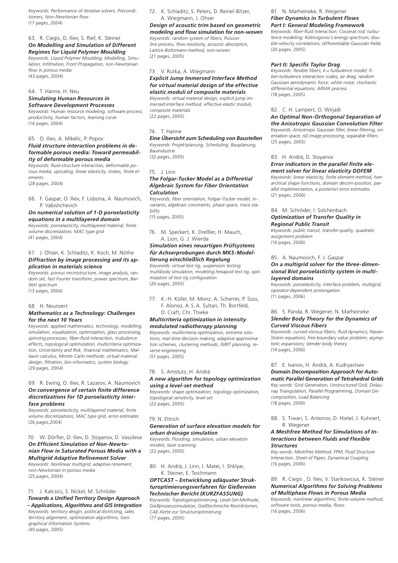*Keywords: Performance of iterative solvers, Preconditioners, Non-Newtonian flow* (17 pages, 2004)

## 63. R. Ciegis, O. Iliev, S. Rief, K. Steiner *On Modelling and Simulation of Different Regimes for Liquid Polymer Moulding*

*Keywords: Liquid Polymer Moulding, Modelling, Simulation, Infiltration, Front Propagation, non-Newtonian flow in porous media*  (43 pages, 2004)

#### 64. T. Hanne, H. Neu *Simulating Human Resources in Software Development Processes*

*Keywords: Human resource modeling, software process, productivity, human factors, learning curve* (14 pages, 2004)

## 65. O. Iliev, A. Mikelic, P. Popov *Fluid structure interaction problems in deformable porous media: Toward permeability of deformable porous media*

*Keywords: fluid-structure interaction, deformable porous media, upscaling, linear elasticity, stokes, finite elements*

(28 pages, 2004)

66. F. Gaspar, O. Iliev, F. Lisbona, A. Naumovich, P. Vabishchevich

## *On numerical solution of 1-D poroelasticity equations in a multilayered domain*

*Keywords: poroelasticity, multilayered material, finite volume discretization, MAC type grid* (41 pages, 2004)

#### 67. J. Ohser, K. Schladitz, K. Koch, M. Nöthe *Diffraction by image processing and its application in materials science*

*Keywords: porous microstructure, image analysis, random set, fast Fourier transform, power spectrum, Bartlett spectrum* (13 pages, 2004)

### 68. H. Neunzert

## *Mathematics as a Technology: Challenges for the next 10 Years*

*Keywords: applied mathematics, technology, modelling, simulation, visualization, optimization, glass processing, spinning processes, fiber-fluid interaction, trubulence effects, topological optimization, multicriteria optimization, Uncertainty and Risk, financial mathematics, Malliavin calculus, Monte-Carlo methods, virtual material design, filtration, bio-informatics, system biology* (29 pages, 2004)

## 69. R. Ewing, O. Iliev, R. Lazarov, A. Naumovich *On convergence of certain finite difference discretizations for 1D poroelasticity interface problems*

*Keywords: poroelasticity, multilayered material, finite volume discretizations, MAC type grid, error estimates*  (26 pages,2004)

## 70. W. Dörfler, O. Iliev, D. Stoyanov, D. Vassileva *On Efficient Simulation of Non-Newtonian Flow in Saturated Porous Media with a Multigrid Adaptive Refinement Solver*

*Keywords: Nonlinear multigrid, adaptive renement, non-Newtonian in porous media*

(25 pages, 2004)

#### 71. J. Kalcsics, S. Nickel, M. Schröder *Towards a Unified Territory Design Approach*

*– Applications, Algorithms and GIS Integration Keywords: territory desgin, political districting, sales territory alignment, optimization algorithms, Geographical Information Systems* (40 pages, 2005)

72. K. Schladitz, S. Peters, D. Reinel-Bitzer, A. Wiegmann, J. Ohser

*Design of acoustic trim based on geometric modeling and flow simulation for non-woven Keywords: random system of fibers, Poisson line process, flow resistivity, acoustic absorption, Lattice-Boltzmann method, non-woven* (21 pages, 2005)

## 73. V. Rutka, A. Wiegmann

*Explicit Jump Immersed Interface Method for virtual material design of the effective elastic moduli of composite materials Keywords: virtual material design, explicit jump immersed interface method, effective elastic moduli,* 

*composite materials* (22 pages, 2005)

## 74. T. Hanne

*Eine Übersicht zum Scheduling von Baustellen Keywords: Projektplanung, Scheduling, Bauplanung, Bauindustrie*

(32 pages, 2005)

### 75. J. Linn

## *The Folgar-Tucker Model as a Differetial Algebraic System for Fiber Orientation Calculation*

*Keywords: fiber orientation, Folgar–Tucker model, invariants, algebraic constraints, phase space, trace stability*

(15 pages, 2005)

76. M. Speckert, K. Dreßler, H. Mauch, A. Lion, G. J. Wierda

## *Simulation eines neuartigen Prüfsystems für Achserprobungen durch MKS-Modellierung einschließlich Regelung*

*Keywords: virtual test rig, suspension testing, multibody simulation, modeling hexapod test rig, optimization of test rig configuration* (20 pages, 2005)

77. K.-H. Küfer, M. Monz, A. Scherrer, P. Süss, F. Alonso, A. S.A. Sultan, Th. Bortfeld, D. Craft, Chr. Thieke

### *Multicriteria optimization in intensity modulated radiotherapy planning*

*Keywords: multicriteria optimization, extreme solutions, real-time decision making, adaptive approximation schemes, clustering methods, IMRT planning, reverse engineering*  (51 pages, 2005)

### 78. S. Amstutz, H. Andrä

## *A new algorithm for topology optimization using a level-set method*

*Keywords: shape optimization, topology optimization, topological sensitivity, level-set* (22 pages, 2005)

## 79. N. Ettrich

#### *Generation of surface elevation models for urban drainage simulation*

*Keywords: Flooding, simulation, urban elevation models, laser scanning* (22 pages, 2005)

80. H. Andrä, J. Linn, I. Matei, I. Shklyar, K. Steiner, E. Teichmann

## *OPTCAST – Entwicklung adäquater Strukturoptimierungsverfahren für Gießereien Technischer Bericht (KURZFASSUNG)*

*Keywords: Topologieoptimierung, Level-Set-Methode, Gießprozesssimulation, Gießtechnische Restriktionen, CAE-Kette zur Strukturoptimierung* (77 pages, 2005)

## 81. N. Marheineke, R. Wegener *Fiber Dynamics in Turbulent Flows Part I: General Modeling Framework*

*Keywords: fiber-fluid interaction; Cosserat rod; turbulence modeling; Kolmogorov's energy spectrum; double-velocity correlations; differentiable Gaussian fields* (20 pages, 2005)

## *Part II: Specific Taylor Drag*

*Keywords: flexible fibers; k-*e *turbulence model; fiber-turbulence interaction scales; air drag; random Gaussian aerodynamic force; white noise; stochastic differential equations; ARMA process*  (18 pages, 2005)

## 82. C. H. Lampert, O. Wirjadi

*An Optimal Non-Orthogonal Separation of the Anisotropic Gaussian Convolution Filter Keywords: Anisotropic Gaussian filter, linear filtering, orientation space, nD image processing, separable filters* (25 pages, 2005)

### 83. H. Andrä, D. Stoyanov

*Error indicators in the parallel finite element solver for linear elasticity DDFEM Keywords: linear elasticity, finite element method, hierarchical shape functions, domain decom-position, parallel implementation, a posteriori error estimates* (21 pages, 2006)

84. M. Schröder, I. Solchenbach

## *Optimization of Transfer Quality in Regional Public Transit*

*Keywords: public transit, transfer quality, quadratic assignment problem* (16 pages, 2006)

## 85. A. Naumovich, F. J. Gaspar

#### *On a multigrid solver for the three-dimensional Biot poroelasticity system in multilayered domains*

*Keywords: poroelasticity, interface problem, multigrid, operator-dependent prolongation* (11 pages, 2006)

## 86. S. Panda, R. Wegener, N. Marheineke *Slender Body Theory for the Dynamics of Curved Viscous Fibers*

*Keywords: curved viscous fibers; fluid dynamics; Navier-Stokes equations; free boundary value problem; asymptotic expansions; slender body theory* (14 pages, 2006)

# 87. E. Ivanov, H. Andrä, A. Kudryavtsev

*Domain Decomposition Approach for Automatic Parallel Generation of Tetrahedral Grids*

*Key words: Grid Generation, Unstructured Grid, Delaunay Triangulation, Parallel Programming, Domain Decomposition, Load Balancing* (18 pages, 2006)

88. S. Tiwari, S. Antonov, D. Hietel, J. Kuhnert, R. Wegener

#### *A Meshfree Method for Simulations of Interactions between Fluids and Flexible Structures*

*Key words: Meshfree Method, FPM, Fluid Structure Interaction, Sheet of Paper, Dynamical Coupling* (16 pages, 2006)

## 89. R. Ciegis , O. Iliev, V. Starikovicius, K. Steiner *Numerical Algorithms for Solving Problems of Multiphase Flows in Porous Media*

*Keywords: nonlinear algorithms, finite-volume method, software tools, porous media, flows* (16 pages, 2006)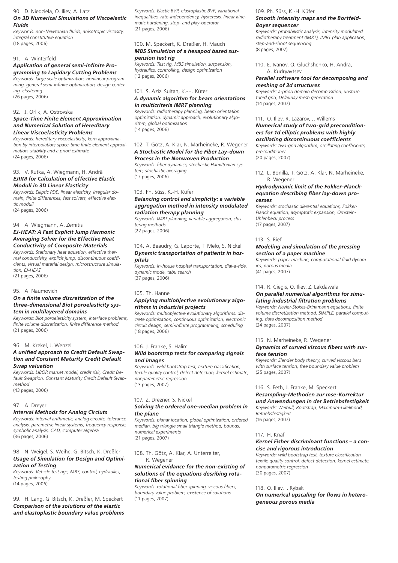#### 90. D. Niedziela, O. Iliev, A. Latz

#### *On 3D Numerical Simulations of Viscoelastic Fluids*

*Keywords: non-Newtonian fluids, anisotropic viscosity, integral constitutive equation*  (18 pages, 2006)

## 91. A. Winterfeld

## *Application of general semi-infinite Programming to Lapidary Cutting Problems*

*Keywords: large scale optimization, nonlinear programming, general semi-infinite optimization, design centering, clustering* (26 pages, 2006)

## 92. J. Orlik, A. Ostrovska

## *Space-Time Finite Element Approximation and Numerical Solution of Hereditary Linear Viscoelasticity Problems*

*Keywords: hereditary viscoelasticity; kern approximation by interpolation; space-time finite element approximation, stability and a priori estimate* (24 pages, 2006)

## 93. V. Rutka, A. Wiegmann, H. Andrä *EJIIM for Calculation of effective Elastic Moduli in 3D Linear Elasticity*

*Keywords: Elliptic PDE, linear elasticity, irregular domain, finite differences, fast solvers, effective elastic moduli*

(24 pages, 2006)

## 94. A. Wiegmann, A. Zemitis

## *EJ-HEAT: A Fast Explicit Jump Harmonic Averaging Solver for the Effective Heat Conductivity of Composite Materials*

*Keywords: Stationary heat equation, effective thermal conductivity, explicit jump, discontinuous coefficients, virtual material design, microstructure simulation, EJ-HEAT* (21 pages, 2006)

## 95. A. Naumovich

## *On a finite volume discretization of the three-dimensional Biot poroelasticity system in multilayered domains*

*Keywords: Biot poroelasticity system, interface problems, finite volume discretization, finite difference method* (21 pages, 2006)

## 96. M. Krekel, J. Wenzel

## *A unified approach to Credit Default Swaption and Constant Maturity Credit Default Swap valuation*

*Keywords: LIBOR market model, credit risk, Credit Default Swaption, Constant Maturity Credit Default Swapmethod* (43 pages, 2006)

## 97. A. Dreyer

# *Interval Methods for Analog Circiuts*

*Keywords: interval arithmetic, analog circuits, tolerance analysis, parametric linear systems, frequency response, symbolic analysis, CAD, computer algebra* (36 pages, 2006)

## 98. N. Weigel, S. Weihe, G. Bitsch, K. Dreßler *Usage of Simulation for Design and Optimization of Testing*

*Keywords: Vehicle test rigs, MBS, control, hydraulics, testing philosophy* (14 pages, 2006)

# 99. H. Lang, G. Bitsch, K. Dreßler, M. Speckert *Comparison of the solutions of the elastic and elastoplastic boundary value problems*

*Keywords: Elastic BVP, elastoplastic BVP, variational inequalities, rate-independency, hysteresis, linear kinematic hardening, stop- and play-operator* (21 pages, 2006)

## 100. M. Speckert, K. Dreßler, H. Mauch *MBS Simulation of a hexapod based suspension test rig*

*Keywords: Test rig, MBS simulation, suspension, hydraulics, controlling, design optimization* (12 pages, 2006)

## 101. S. Azizi Sultan, K.-H. Küfer *A dynamic algorithm for beam orientations in multicriteria IMRT planning*

*Keywords: radiotherapy planning, beam orientation optimization, dynamic approach, evolutionary algorithm, global optimization* (14 pages, 2006)

# 102. T. Götz, A. Klar, N. Marheineke, R. Wegener *A Stochastic Model for the Fiber Lay-down Process in the Nonwoven Production*

*Keywords: fiber dynamics, stochastic Hamiltonian system, stochastic averaging* (17 pages, 2006)

## 103. Ph. Süss, K.-H. Küfer

## *Balancing control and simplicity: a variable aggregation method in intensity modulated radiation therapy planning*

*Keywords: IMRT planning, variable aggregation, clustering methods*  (22 pages, 2006)

## 104. A. Beaudry, G. Laporte, T. Melo, S. Nickel *Dynamic transportation of patients in hospitals*

*Keywords: in-house hospital transportation, dial-a-ride, dynamic mode, tabu search*  (37 pages, 2006)

## 105. Th. Hanne

## *Applying multiobjective evolutionary algorithms in industrial projects*

*Keywords: multiobjective evolutionary algorithms, discrete optimization, continuous optimization, electronic circuit design, semi-infinite programming, scheduling* (18 pages, 2006)

## 106. J. Franke, S. Halim

## *Wild bootstrap tests for comparing signals and images*

*Keywords: wild bootstrap test, texture classification, textile quality control, defect detection, kernel estimate, nonparametric regression* (13 pages, 2007)

# 107. Z. Drezner, S. Nickel

#### *Solving the ordered one-median problem in the plane*

*Keywords: planar location, global optimization, ordered median, big triangle small triangle method, bounds, numerical experiments* (21 pages, 2007)

108. Th. Götz, A. Klar, A. Unterreiter, R. Wegener

### *Numerical evidance for the non-existing of solutions of the equations desribing rotational fiber spinning*

*Keywords: rotational fiber spinning, viscous fibers, boundary value problem, existence of solutions* (11 pages, 2007)

# 109. Ph. Süss, K.-H. Küfer

# *Smooth intensity maps and the Bortfeld-*

*Boyer sequencer*

*Keywords: probabilistic analysis, intensity modulated radiotherapy treatment (IMRT), IMRT plan application, step-and-shoot sequencing* (8 pages, 2007)

110. E. Ivanov, O. Gluchshenko, H. Andrä, A. Kudryavtsev

#### *Parallel software tool for decomposing and meshing of 3d structures*

*Keywords: a-priori domain decomposition, unstructured grid, Delaunay mesh generation* (14 pages, 2007)

## 111. O. Iliev, R. Lazarov, J. Willems

## *Numerical study of two-grid preconditioners for 1d elliptic problems with highly oscillating discontinuous coefficients*

*Keywords: two-grid algorithm, oscillating coefficients, preconditioner*  (20 pages, 2007)

112. L. Bonilla, T. Götz, A. Klar, N. Marheineke, R. Wegener

## *Hydrodynamic limit of the Fokker-Planckequation describing fiber lay-down processes*

*Keywords: stochastic dierential equations, Fokker-Planck equation, asymptotic expansion, Ornstein-Uhlenbeck process* (17 pages, 2007)

### 113. S. Rief

## *Modeling and simulation of the pressing section of a paper machine*

*Keywords: paper machine, computational fluid dynamics, porous media* (41 pages, 2007)

## 114. R. Ciegis, O. Iliev, Z. Lakdawala *On parallel numerical algorithms for simulating industrial filtration problems*

*Keywords: Navier-Stokes-Brinkmann equations, finite volume discretization method, SIMPLE, parallel computing, data decomposition method*  (24 pages, 2007)

## 115. N. Marheineke, R. Wegener

#### *Dynamics of curved viscous fibers with surface tension*

*Keywords: Slender body theory, curved viscous bers with surface tension, free boundary value problem* (25 pages, 2007)

## 116. S. Feth, J. Franke, M. Speckert

#### *Resampling-Methoden zur mse-Korrektur und Anwendungen in der Betriebsfestigkeit*

*Keywords: Weibull, Bootstrap, Maximum-Likelihood, Betriebsfestigkeit*

(16 pages, 2007)

117. H. Knaf

#### *Kernel Fisher discriminant functions – a concise and rigorous introduction*

*Keywords: wild bootstrap test, texture classification, textile quality control, defect detection, kernel estimate, nonparametric regression* (30 pages, 2007)

118. O. Iliev, I. Rybak *On numerical upscaling for flows in heterogeneous porous media*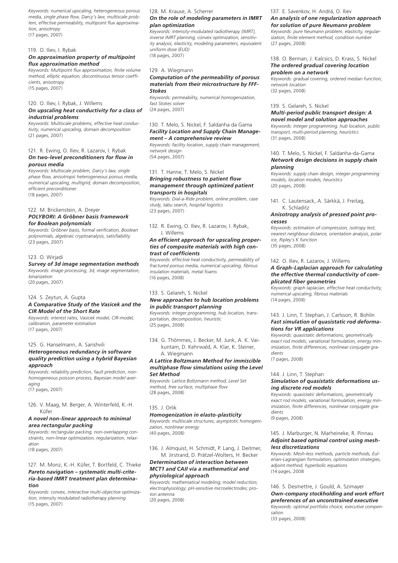*Keywords: numerical upscaling, heterogeneous porous media, single phase flow, Darcy's law, multiscale problem, effective permeability, multipoint flux approximation, anisotropy* (17 pages, 2007)

119. O. Iliev, I. Rybak

## *On approximation property of multipoint flux approximation method*

*Keywords: Multipoint flux approximation, finite volume method, elliptic equation, discontinuous tensor coefficients, anisotropy* (15 pages, 2007)

#### 120. O. Iliev, I. Rybak, J. Willems

## *On upscaling heat conductivity for a class of industrial problems*

*Keywords: Multiscale problems, effective heat conductivity, numerical upscaling, domain decomposition* (21 pages, 2007)

## 121. R. Ewing, O. Iliev, R. Lazarov, I. Rybak *On two-level preconditioners for flow in porous media*

*Keywords: Multiscale problem, Darcy's law, single phase flow, anisotropic heterogeneous porous media, numerical upscaling, multigrid, domain decomposition, efficient preconditioner* (18 pages, 2007)

#### 122. M. Brickenstein, A. Dreyer

## *POLYBORI: A Gröbner basis framework for Boolean polynomials*

*Keywords: Gröbner basis, formal verification, Boolean polynomials, algebraic cryptoanalysis, satisfiability* (23 pages, 2007)

#### 123. O. Wirjadi

*Survey of 3d image segmentation methods Keywords: image processing, 3d, image segmentation, binarization* (20 pages, 2007)

#### 124. S. Zeytun, A. Gupta

#### *A Comparative Study of the Vasicek and the CIR Model of the Short Rate*

*Keywords: interest rates, Vasicek model, CIR-model, calibration, parameter estimation* (17 pages, 2007)

#### 125. G. Hanselmann, A. Sarishvili

## *Heterogeneous redundancy in software quality prediction using a hybrid Bayesian approach*

*Keywords: reliability prediction, fault prediction, nonhomogeneous poisson process, Bayesian model averaging*

(17 pages, 2007)

## 126. V. Maag, M. Berger, A. Winterfeld, K.-H. Küfer

## *A novel non-linear approach to minimal area rectangular packing*

*Keywords: rectangular packing, non-overlapping constraints, non-linear optimization, regularization, relaxation* 

(18 pages, 2007)

### 127. M. Monz, K.-H. Küfer, T. Bortfeld, C. Thieke *Pareto navigation – systematic multi-criteria-based IMRT treatment plan determination*

*Keywords: convex, interactive multi-objective optimization, intensity modulated radiotherapy planning* (15 pages, 2007)

#### 128. M. Krause, A. Scherrer

## *On the role of modeling parameters in IMRT plan optimization*

*Keywords: intensity-modulated radiotherapy (IMRT), inverse IMRT planning, convex optimization, sensitivity analysis, elasticity, modeling parameters, equivalent uniform dose (EUD)* (18 pages, 2007)

#### 129. A. Wiegmann

## *Computation of the permeability of porous materials from their microstructure by FFF-Stokes*

*Keywords: permeability, numerical homogenization, fast Stokes solver* (24 pages, 2007)

#### 130. T. Melo, S. Nickel, F. Saldanha da Gama *Facility Location and Supply Chain Management – A comprehensive review*

*Keywords: facility location, supply chain management, network design* (54 pages, 2007)

## 131. T. Hanne, T. Melo, S. Nickel *Bringing robustness to patient flow management through optimized patient transports in hospitals*

*Keywords: Dial-a-Ride problem, online problem, case study, tabu search, hospital logistics*  (23 pages, 2007)

132. R. Ewing, O. Iliev, R. Lazarov, I. Rybak, J. Willems

#### *An efficient approach for upscaling properties of composite materials with high contrast of coefficients*

*Keywords: effective heat conductivity, permeability of fractured porous media, numerical upscaling, fibrous insulation materials, metal foams* (16 pages, 2008)

#### 133. S. Gelareh, S. Nickel

#### *New approaches to hub location problems in public transport planning*

*Keywords: integer programming, hub location, transportation, decomposition, heuristic* (25 pages, 2008)

134. G. Thömmes, J. Becker, M. Junk, A. K. Vaikuntam, D. Kehrwald, A. Klar, K. Steiner, A. Wiegmann

#### *A Lattice Boltzmann Method for immiscible multiphase flow simulations using the Level Set Method*

*Keywords: Lattice Boltzmann method, Level Set method, free surface, multiphase flow* (28 pages, 2008)

### 135. J. Orlik

### *Homogenization in elasto-plasticity*

*Keywords: multiscale structures, asymptotic homogenization, nonlinear energy*  (40 pages, 2008)

136. J. Almquist, H. Schmidt, P. Lang, J. Deitmer, M. Jirstrand, D. Prätzel-Wolters, H. Becker

## *Determination of interaction between MCT1 and CAII via a mathematical and physiological approach*

*Keywords: mathematical modeling; model reduction; electrophysiology; pH-sensitive microelectrodes; proton antenna*  (20 pages, 2008)

137. E. Savenkov, H. Andrä, O. Iliev

#### *An analysis of one regularization approach for solution of pure Neumann problem*

*Keywords: pure Neumann problem, elasticity, regularization, finite element method, condition number* (27 pages, 2008)

#### 138. O. Berman, J. Kalcsics, D. Krass, S. Nickel *The ordered gradual covering location problem on a network*

*Keywords: gradual covering, ordered median function, network location* (32 pages, 2008)

139. S. Gelareh, S. Nickel

## *Multi-period public transport design: A novel model and solution approaches*

*Keywords: Integer programming, hub location, public transport, multi-period planning, heuristics* (31 pages, 2008)

## 140. T. Melo, S. Nickel, F. Saldanha-da-Gama *Network design decisions in supply chain planning*

*Keywords: supply chain design, integer programming models, location models, heuristics* (20 pages, 2008)

141. C. Lautensack, A. Särkkä, J. Freitag, K. Schladitz

#### *Anisotropy analysis of pressed point processes*

*Keywords: estimation of compression, isotropy test, nearest neighbour distance, orientation analysis, polar ice, Ripley's K function* (35 pages, 2008)

#### 142. O. Iliev, R. Lazarov, J. Willems

### *A Graph-Laplacian approach for calculating the effective thermal conductivity of complicated fiber geometries*

*Keywords: graph laplacian, effective heat conductivity, numerical upscaling, fibrous materials* (14 pages, 2008)

## 143. J. Linn, T. Stephan, J. Carlsson, R. Bohlin *Fast simulation of quasistatic rod deformations for VR applications*

*Keywords: quasistatic deformations, geometrically exact rod models, variational formulation, energy minimization, finite differences, nonlinear conjugate gradients*

(7 pages, 2008)

#### 144. J. Linn, T. Stephan *Simulation of quasistatic deformations using discrete rod models*

*Keywords: quasistatic deformations, geometrically exact rod models, variational formulation, energy minimization, finite differences, nonlinear conjugate gradients*

(9 pages, 2008)

# 145. J. Marburger, N. Marheineke, R. Pinnau *Adjoint based optimal control using mesh-*

## *less discretizations*

*Keywords: Mesh-less methods, particle methods, Eulerian-Lagrangian formulation, optimization strategies, adjoint method, hyperbolic equations* (14 pages, 2008

# 146. S. Desmettre, J. Gould, A. Szimayer *Own-company stockholding and work effort preferences of an unconstrained executive*

*Keywords: optimal portfolio choice, executive compensation* (33 pages, 2008)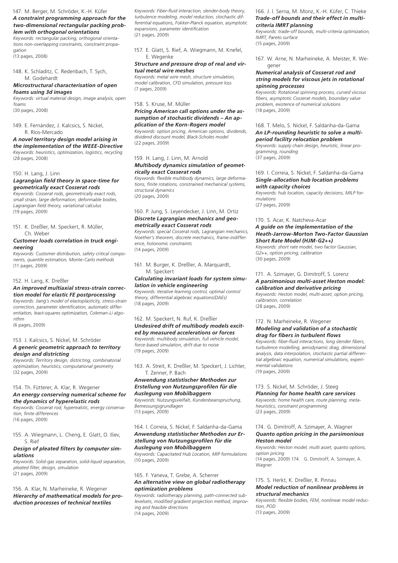147. M. Berger, M. Schröder, K.-H. Küfer

#### *A constraint programming approach for the two-dimensional rectangular packing problem with orthogonal orientations*

*Keywords: rectangular packing, orthogonal orientations non-overlapping constraints, constraint propagation*

(13 pages, 2008)

## 148. K. Schladitz, C. Redenbach, T. Sych, M. Godehardt

*Microstructural characterisation of open foams using 3d images*

*Keywords: virtual material design, image analysis, open foams*

(30 pages, 2008)

## 149. E. Fernández, J. Kalcsics, S. Nickel, R. Ríos-Mercado

*A novel territory design model arising in the implementation of the WEEE-Directive Keywords: heuristics, optimization, logistics, recycling* (28 pages, 2008)

150. H. Lang, J. Linn

## *Lagrangian field theory in space-time for geometrically exact Cosserat rods*

*Keywords: Cosserat rods, geometrically exact rods, small strain, large deformation, deformable bodies, Lagrangian field theory, variational calculus* (19 pages, 2009)

151. K. Dreßler, M. Speckert, R. Müller, Ch. Weber

#### *Customer loads correlation in truck engineering*

*Keywords: Customer distribution, safety critical components, quantile estimation, Monte-Carlo methods* (11 pages, 2009)

#### 152. H. Lang, K. Dreßler

#### *An improved multiaxial stress-strain correction model for elastic FE postprocessing*

*Keywords: Jiang's model of elastoplasticity, stress-strain correction, parameter identification, automatic differentiation, least-squares optimization, Coleman-Li algorithm*

(6 pages, 2009)

## 153. J. Kalcsics, S. Nickel, M. Schröder

## *A generic geometric approach to territory design and districting*

*Keywords: Territory design, districting, combinatorial optimization, heuristics, computational geometry* (32 pages, 2009)

#### 154. Th. Fütterer, A. Klar, R. Wegener

#### *An energy conserving numerical scheme for the dynamics of hyperelastic rods*

*Keywords: Cosserat rod, hyperealstic, energy conservation, finite differences* (16 pages, 2009)

155. A. Wiegmann, L. Cheng, E. Glatt, O. Iliev, S. Rief

### *Design of pleated filters by computer simulations*

*Keywords: Solid-gas separation, solid-liquid separation, pleated filter, design, simulation* (21 pages, 2009)

156. A. Klar, N. Marheineke, R. Wegener *Hierarchy of mathematical models for production processes of technical textiles*

*Keywords: Fiber-fluid interaction, slender-body theory, turbulence modeling, model reduction, stochastic differential equations, Fokker-Planck equation, asymptotic expansions, parameter identification* (21 pages, 2009)

157. E. Glatt, S. Rief, A. Wiegmann, M. Knefel, E. Wegenke

## *Structure and pressure drop of real and virtual metal wire meshes*

*Keywords: metal wire mesh, structure simulation, model calibration, CFD simulation, pressure loss* (7 pages, 2009)

## 158. S. Kruse, M. Müller

## *Pricing American call options under the assumption of stochastic dividends – An application of the Korn-Rogers model*

*Keywords: option pricing, American options, dividends, dividend discount model, Black-Scholes model* (22 pages, 2009)

## 159. H. Lang, J. Linn, M. Arnold

## *Multibody dynamics simulation of geometrically exact Cosserat rods*

*Keywords: flexible multibody dynamics, large deformations, finite rotations, constrained mechanical systems, structural dynamics* (20 pages, 2009)

#### 160. P. Jung, S. Leyendecker, J. Linn, M. Ortiz *Discrete Lagrangian mechanics and geometrically exact Cosserat rods*

*Keywords: special Cosserat rods, Lagrangian mechanics, Noether's theorem, discrete mechanics, frame-indifference, holonomic constraints* (14 pages, 2009)

161. M. Burger, K. Dreßler, A. Marquardt, M. Speckert

## *Calculating invariant loads for system simulation in vehicle engineering*

*Keywords: iterative learning control, optimal control theory, differential algebraic equations(DAEs)* (18 pages, 2009)

### 162. M. Speckert, N. Ruf, K. Dreßler *Undesired drift of multibody models excited by measured accelerations or forces*

*Keywords: multibody simulation, full vehicle model, force-based simulation, drift due to noise* (19 pages, 2009)

163. A. Streit, K. Dreßler, M. Speckert, J. Lichter, T. Zenner, P. Bach

## *Anwendung statistischer Methoden zur Erstellung von Nutzungsprofilen für die Auslegung von Mobilbaggern Keywords: Nutzungsvielfalt, Kundenbeanspruchung,*

*Bemessungsgrundlagen* (13 pages, 2009)

## 164. I. Correia, S. Nickel, F. Saldanha-da-Gama *Anwendung statistischer Methoden zur Erstellung von Nutzungsprofilen für die Auslegung von Mobilbaggern*

*Keywords: Capacitated Hub Location, MIP formulations* (10 pages, 2009)

### 165. F. Yaneva, T. Grebe, A. Scherrer *An alternative view on global radiotherapy optimization problems*

*Keywords: radiotherapy planning, path-connected sublevelsets, modified gradient projection method, improving and feasible directions* (14 pages, 2009)

## 166. J. I. Serna, M. Monz, K.-H. Küfer, C. Thieke *Trade-off bounds and their effect in multi-*

## *criteria IMRT planning*

*Keywords: trade-off bounds, multi-criteria optimization, IMRT, Pareto surface* (15 pages, 2009)

167. W. Arne, N. Marheineke, A. Meister, R. Wegener

#### *Numerical analysis of Cosserat rod and string models for viscous jets in rotational spinning processes*

*Keywords: Rotational spinning process, curved viscous fibers, asymptotic Cosserat models, boundary value problem, existence of numerical solutions* (18 pages, 2009)

## 168. T. Melo, S. Nickel, F. Saldanha-da-Gama *An LP-rounding heuristic to solve a multiperiod facility relocation problem*

*Keywords: supply chain design, heuristic, linear programming, rounding* (37 pages, 2009)

## 169. I. Correia, S. Nickel, F. Saldanha-da-Gama *Single-allocation hub location problems with capacity choices*

*Keywords: hub location, capacity decisions, MILP formulations* (27 pages, 2009)

## 170. S. Acar, K. Natcheva-Acar *A guide on the implementation of the Heath-Jarrow-Morton Two-Factor Gaussian Short Rate Model (HJM-G2++)*

*Keywords: short rate model, two factor Gaussian, G2++, option pricing, calibration* (30 pages, 2009)

## 171. A. Szimayer, G. Dimitroff, S. Lorenz *A parsimonious multi-asset Heston model: calibration and derivative pricing*

*Keywords: Heston model, multi-asset, option pricing, calibration, correlation* (28 pages, 2009)

## 172. N. Marheineke, R. Wegener *Modeling and validation of a stochastic drag for fibers in turbulent flows*

*Keywords: fiber-fluid interactions, long slender fibers, turbulence modelling, aerodynamic drag, dimensional analysis, data interpolation, stochastic partial differential algebraic equation, numerical simulations, experimental validations* (19 pages, 2009)

#### 173. S. Nickel, M. Schröder, J. Steeg *Planning for home health care services Keywords: home health care, route planning, metaheuristics, constraint programming* (23 pages, 2009)

## 174. G. Dimitroff, A. Szimayer, A. Wagner *Quanto option pricing in the parsimonious Heston model*

*Keywords: Heston model, multi asset, quanto options, option pricing* (14 pages, 2009) 174. G. Dimitroff, A. Szimayer, A. Wagner

## 175. S. Herkt, K. Dreßler, R. Pinnau *Model reduction of nonlinear problems in structural mechanics*

*Keywords: flexible bodies, FEM, nonlinear model reduction, POD* (13 pages, 2009)